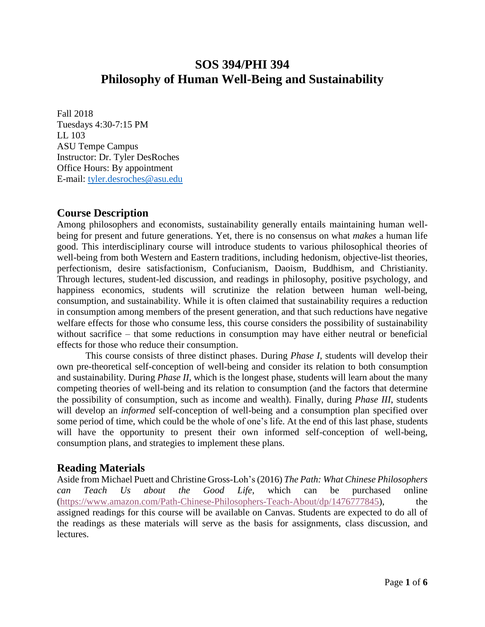# **SOS 394/PHI 394 Philosophy of Human Well-Being and Sustainability**

Fall 2018 Tuesdays 4:30-7:15 PM LL 103 ASU Tempe Campus Instructor: Dr. Tyler DesRoches Office Hours: By appointment E-mail: [tyler.desroches@asu.edu](mailto:tyler.desroches@asu.edu)

# **Course Description**

Among philosophers and economists, sustainability generally entails maintaining human wellbeing for present and future generations. Yet, there is no consensus on what *makes* a human life good. This interdisciplinary course will introduce students to various philosophical theories of well-being from both Western and Eastern traditions, including hedonism, objective-list theories, perfectionism, desire satisfactionism, Confucianism, Daoism, Buddhism, and Christianity. Through lectures, student-led discussion, and readings in philosophy, positive psychology, and happiness economics, students will scrutinize the relation between human well-being, consumption, and sustainability. While it is often claimed that sustainability requires a reduction in consumption among members of the present generation, and that such reductions have negative welfare effects for those who consume less, this course considers the possibility of sustainability without sacrifice – that some reductions in consumption may have either neutral or beneficial effects for those who reduce their consumption.

This course consists of three distinct phases. During *Phase I*, students will develop their own pre-theoretical self-conception of well-being and consider its relation to both consumption and sustainability. During *Phase II*, which is the longest phase, students will learn about the many competing theories of well-being and its relation to consumption (and the factors that determine the possibility of consumption, such as income and wealth). Finally, during *Phase III*, students will develop an *informed* self-conception of well-being and a consumption plan specified over some period of time, which could be the whole of one's life. At the end of this last phase, students will have the opportunity to present their own informed self-conception of well-being, consumption plans, and strategies to implement these plans.

# **Reading Materials**

Aside from Michael Puett and Christine Gross-Loh's (2016) *The Path: What Chinese Philosophers can Teach Us about the Good Life*, which can be purchased online [\(https://www.amazon.com/Path-Chinese-Philosophers-Teach-About/dp/1476777845\)](https://www.amazon.com/Path-Chinese-Philosophers-Teach-About/dp/1476777845), the assigned readings for this course will be available on Canvas. Students are expected to do all of the readings as these materials will serve as the basis for assignments, class discussion, and lectures.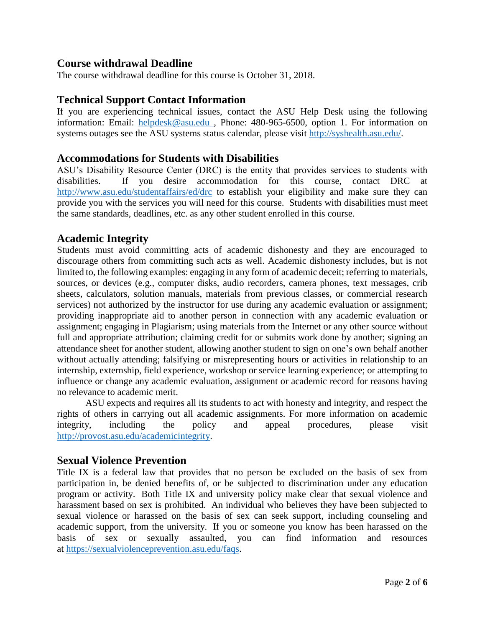# **Course withdrawal Deadline**

The course withdrawal deadline for this course is October 31, 2018.

# **Technical Support Contact Information**

If you are experiencing technical issues, contact the ASU Help Desk using the following information: Email: [helpdesk@asu.edu ,](mailto:helpdesk@asu.edu) Phone: 480-965-6500, option 1. For information on systems outages see the ASU systems status calendar, please visit [http://syshealth.asu.edu/.](http://syshealth.asu.edu/)

## **Accommodations for Students with Disabilities**

ASU's Disability Resource Center (DRC) is the entity that provides services to students with disabilities. If you desire accommodation for this course, contact DRC at <http://www.asu.edu/studentaffairs/ed/drc> to establish your eligibility and make sure they can provide you with the services you will need for this course. Students with disabilities must meet the same standards, deadlines, etc. as any other student enrolled in this course.

# **Academic Integrity**

Students must avoid committing acts of academic dishonesty and they are encouraged to discourage others from committing such acts as well. Academic dishonesty includes, but is not limited to, the following examples: engaging in any form of academic deceit; referring to materials, sources, or devices (e.g., computer disks, audio recorders, camera phones, text messages, crib sheets, calculators, solution manuals, materials from previous classes, or commercial research services) not authorized by the instructor for use during any academic evaluation or assignment; providing inappropriate aid to another person in connection with any academic evaluation or assignment; engaging in Plagiarism; using materials from the Internet or any other source without full and appropriate attribution; claiming credit for or submits work done by another; signing an attendance sheet for another student, allowing another student to sign on one's own behalf another without actually attending; falsifying or misrepresenting hours or activities in relationship to an internship, externship, field experience, workshop or service learning experience; or attempting to influence or change any academic evaluation, assignment or academic record for reasons having no relevance to academic merit.

ASU expects and requires all its students to act with honesty and integrity, and respect the rights of others in carrying out all academic assignments. For more information on academic integrity, including the policy and appeal procedures, please visit [http://provost.asu.edu/academicintegrity.](http://provost.asu.edu/academicintegrity)

# **Sexual Violence Prevention**

Title IX is a federal law that provides that no person be excluded on the basis of sex from participation in, be denied benefits of, or be subjected to discrimination under any education program or activity. Both Title IX and university policy make clear that sexual violence and harassment based on sex is prohibited. An individual who believes they have been subjected to sexual violence or harassed on the basis of sex can seek support, including counseling and academic support, from the university. If you or someone you know has been harassed on the basis of sex or sexually assaulted, you can find information and resources at [https://sexualviolenceprevention.asu.edu/faqs.](https://urldefense.proofpoint.com/v2/url?u=https-3A__sexualviolenceprevention.asu.edu_faqs&d=DwMGaQ&c=l45AxH-kUV29SRQusp9vYR0n1GycN4_2jInuKy6zbqQ&r=sHGH2qt2S7-PHnhCdOolZcBvGIFEfayxzguFFhirqEQ&m=XZn7zRqOMqfD43_odFAq3fF6GpmQXI_GCRx8lA-famE&s=lKWF9z3Lf2H6XAfpYOq0K1mypY1U-wHwD8_H0YWzcuI&e=)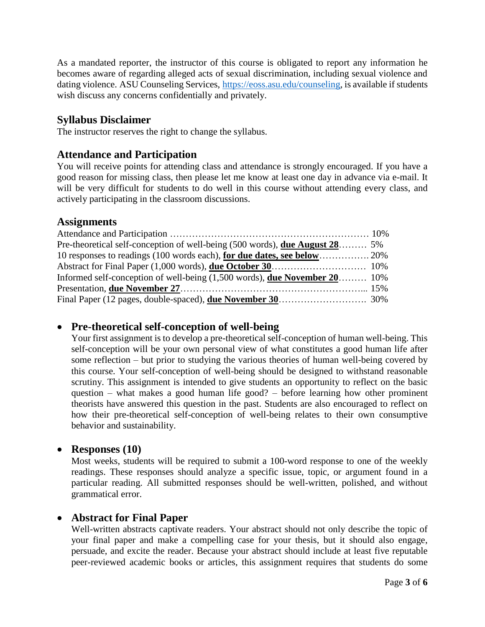As a mandated reporter, the instructor of this course is obligated to report any information he becomes aware of regarding alleged acts of sexual discrimination, including sexual violence and dating violence. ASU Counseling Services, [https://eoss.asu.edu/counseling,](https://urldefense.proofpoint.com/v2/url?u=https-3A__eoss.asu.edu_counseling&d=DwMGaQ&c=l45AxH-kUV29SRQusp9vYR0n1GycN4_2jInuKy6zbqQ&r=sHGH2qt2S7-PHnhCdOolZcBvGIFEfayxzguFFhirqEQ&m=XZn7zRqOMqfD43_odFAq3fF6GpmQXI_GCRx8lA-famE&s=Df-VvJVk_iIB80FZqxA7An4rgAs_Antems-i0byF930&e=) is available if students wish discuss any concerns confidentially and privately.

### **Syllabus Disclaimer**

The instructor reserves the right to change the syllabus.

### **Attendance and Participation**

You will receive points for attending class and attendance is strongly encouraged. If you have a good reason for missing class, then please let me know at least one day in advance via e-mail. It will be very difficult for students to do well in this course without attending every class, and actively participating in the classroom discussions.

#### **Assignments**

| Pre-theoretical self-conception of well-being (500 words), <b>due August 28</b> 5%   |  |
|--------------------------------------------------------------------------------------|--|
|                                                                                      |  |
|                                                                                      |  |
| Informed self-conception of well-being $(1,500 \text{ words})$ , due November 20 10% |  |
|                                                                                      |  |
|                                                                                      |  |

### **Pre-theoretical self-conception of well-being**

Your first assignment is to develop a pre-theoretical self-conception of human well-being. This self-conception will be your own personal view of what constitutes a good human life after some reflection – but prior to studying the various theories of human well-being covered by this course. Your self-conception of well-being should be designed to withstand reasonable scrutiny. This assignment is intended to give students an opportunity to reflect on the basic question – what makes a good human life good? – before learning how other prominent theorists have answered this question in the past. Students are also encouraged to reflect on how their pre-theoretical self-conception of well-being relates to their own consumptive behavior and sustainability.

### **Responses (10)**

Most weeks, students will be required to submit a 100-word response to one of the weekly readings. These responses should analyze a specific issue, topic, or argument found in a particular reading. All submitted responses should be well-written, polished, and without grammatical error.

### **Abstract for Final Paper**

Well-written abstracts captivate readers. Your abstract should not only describe the topic of your final paper and make a compelling case for your thesis, but it should also engage, persuade, and excite the reader. Because your abstract should include at least five reputable peer-reviewed academic books or articles, this assignment requires that students do some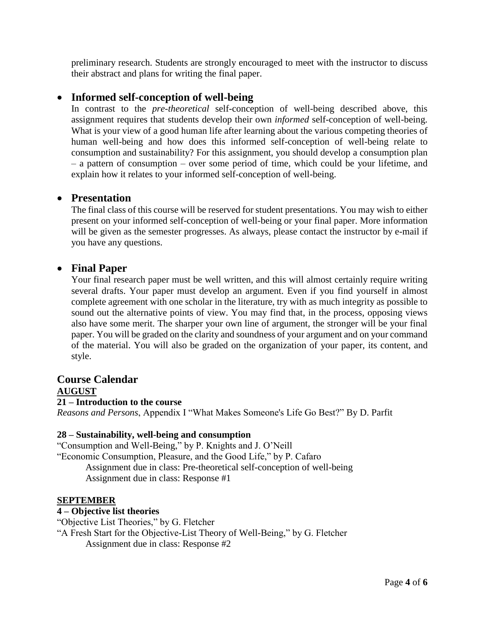preliminary research. Students are strongly encouraged to meet with the instructor to discuss their abstract and plans for writing the final paper.

# **Informed self-conception of well-being**

In contrast to the *pre-theoretical* self-conception of well-being described above, this assignment requires that students develop their own *informed* self-conception of well-being. What is your view of a good human life after learning about the various competing theories of human well-being and how does this informed self-conception of well-being relate to consumption and sustainability? For this assignment, you should develop a consumption plan – a pattern of consumption – over some period of time, which could be your lifetime, and explain how it relates to your informed self-conception of well-being.

### **Presentation**

The final class of this course will be reserved for student presentations. You may wish to either present on your informed self-conception of well-being or your final paper. More information will be given as the semester progresses. As always, please contact the instructor by e-mail if you have any questions.

### **Final Paper**

Your final research paper must be well written, and this will almost certainly require writing several drafts. Your paper must develop an argument. Even if you find yourself in almost complete agreement with one scholar in the literature, try with as much integrity as possible to sound out the alternative points of view. You may find that, in the process, opposing views also have some merit. The sharper your own line of argument, the stronger will be your final paper. You will be graded on the clarity and soundness of your argument and on your command of the material. You will also be graded on the organization of your paper, its content, and style.

#### **Course Calendar AUGUST 21 – Introduction to the course**

*Reasons and Persons*, Appendix I "What Makes Someone's Life Go Best?" By D. Parfit

#### **28 – Sustainability, well-being and consumption**

"Consumption and Well-Being," by P. Knights and J. O'Neill "Economic Consumption, Pleasure, and the Good Life," by P. Cafaro Assignment due in class: Pre-theoretical self-conception of well-being Assignment due in class: Response #1

#### **SEPTEMBER**

#### **4 – Objective list theories**

"Objective List Theories," by G. Fletcher

"A Fresh Start for the Objective-List Theory of Well-Being," by G. Fletcher Assignment due in class: Response #2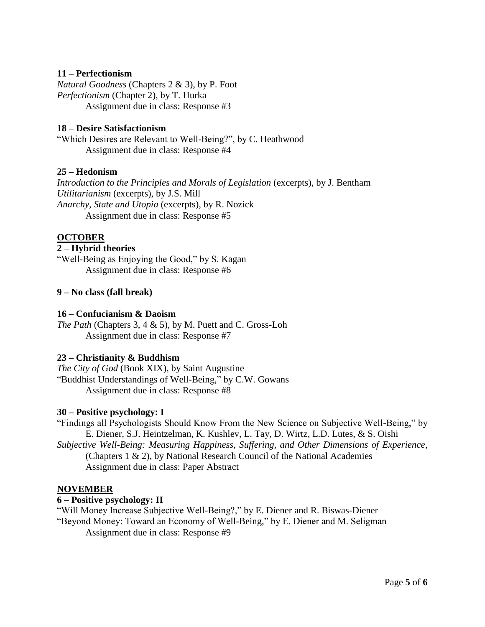#### **11 – Perfectionism**

*Natural Goodness* (Chapters 2 & 3), by P. Foot *Perfectionism* (Chapter 2), by T. Hurka Assignment due in class: Response #3

#### **18 – Desire Satisfactionism**

"Which Desires are Relevant to Well-Being?", by C. Heathwood Assignment due in class: Response #4

#### **25 – Hedonism**

*Introduction to the Principles and Morals of Legislation* (excerpts), by J. Bentham *Utilitarianism* (excerpts), by J.S. Mill *Anarchy, State and Utopia* (excerpts), by R. Nozick Assignment due in class: Response #5

### **OCTOBER**

#### **2 – Hybrid theories**

"Well-Being as Enjoying the Good," by S. Kagan Assignment due in class: Response #6

#### **9 – No class (fall break)**

#### **16 – Confucianism & Daoism**

*The Path* (Chapters 3, 4 & 5), by M. Puett and C. Gross-Loh Assignment due in class: Response #7

#### **23 – Christianity & Buddhism**

*The City of God* (Book XIX), by Saint Augustine "Buddhist Understandings of Well-Being," by C.W. Gowans Assignment due in class: Response #8

#### **30 – Positive psychology: I**

"Findings all Psychologists Should Know From the New Science on Subjective Well-Being," by E. Diener, S.J. Heintzelman, K. Kushlev, L. Tay, D. Wirtz, L.D. Lutes, & S. Oishi

*Subjective Well-Being: Measuring Happiness, Suffering, and Other Dimensions of Experience*, (Chapters 1 & 2), by National Research Council of the National Academies Assignment due in class: Paper Abstract

#### **NOVEMBER**

#### **6 – Positive psychology: II**

"Will Money Increase Subjective Well-Being?," by E. Diener and R. Biswas-Diener

"Beyond Money: Toward an Economy of Well-Being," by E. Diener and M. Seligman

Assignment due in class: Response #9